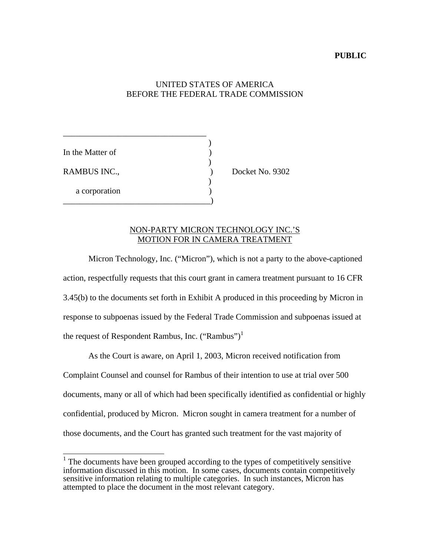#### **PUBLIC**

# UNITED STATES OF AMERICA BEFORE THE FEDERAL TRADE COMMISSION

)

In the Matter of  $\qquad \qquad$  )  $)$ RAMBUS INC., Docket No. 9302  $)$ a corporation (a)

\_\_\_\_\_\_\_\_\_\_\_\_\_\_\_\_\_\_\_\_\_\_\_\_\_\_\_\_\_\_\_\_\_\_

\_\_\_\_\_\_\_\_\_\_\_\_\_\_\_\_\_\_\_\_\_\_\_\_\_\_\_\_\_\_\_\_\_\_\_)

#### NON-PARTY MICRON TECHNOLOGY INC.'S MOTION FOR IN CAMERA TREATMENT

Micron Technology, Inc. ("Micron"), which is not a party to the above-captioned action, respectfully requests that this court grant in camera treatment pursuant to 16 CFR 3.45(b) to the documents set forth in Exhibit A produced in this proceeding by Micron in response to subpoenas issued by the Federal Trade Commission and subpoenas issued at the request of Respondent Rambus, Inc.  $("Rambus")^1$ 

As the Court is aware, on April 1, 2003, Micron received notification from Complaint Counsel and counsel for Rambus of their intention to use at trial over 500 documents, many or all of which had been specifically identified as confidential or highly confidential, produced by Micron. Micron sought in camera treatment for a number of those documents, and the Court has granted such treatment for the vast majority of

<sup>&</sup>lt;sup>1</sup> The documents have been grouped according to the types of competitively sensitive information discussed in this motion. In some cases, documents contain competitively sensitive information relating to multiple categories. In such instances, Micron has attempted to place the document in the most relevant category.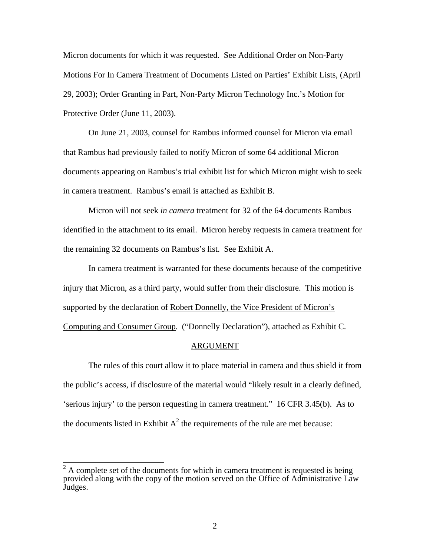Micron documents for which it was requested. See Additional Order on Non-Party Motions For In Camera Treatment of Documents Listed on Parties' Exhibit Lists, (April 29, 2003); Order Granting in Part, Non-Party Micron Technology Inc.'s Motion for Protective Order (June 11, 2003).

On June 21, 2003, counsel for Rambus informed counsel for Micron via email that Rambus had previously failed to notify Micron of some 64 additional Micron documents appearing on Rambus's trial exhibit list for which Micron might wish to seek in camera treatment. Rambus's email is attached as Exhibit B.

Micron will not seek *in camera* treatment for 32 of the 64 documents Rambus identified in the attachment to its email. Micron hereby requests in camera treatment for the remaining 32 documents on Rambus's list. See Exhibit A.

In camera treatment is warranted for these documents because of the competitive injury that Micron, as a third party, would suffer from their disclosure. This motion is supported by the declaration of Robert Donnelly, the Vice President of Micron's Computing and Consumer Group. ("Donnelly Declaration"), attached as Exhibit C.

#### ARGUMENT

The rules of this court allow it to place material in camera and thus shield it from the public's access, if disclosure of the material would "likely result in a clearly defined, 'serious injury' to the person requesting in camera treatment." 16 CFR 3.45(b). As to the documents listed in Exhibit  $A^2$  the requirements of the rule are met because:

<sup>&</sup>lt;sup>2</sup> A complete set of the documents for which in camera treatment is requested is being provided along with the copy of the motion served on the Office of Administrative Law Judges.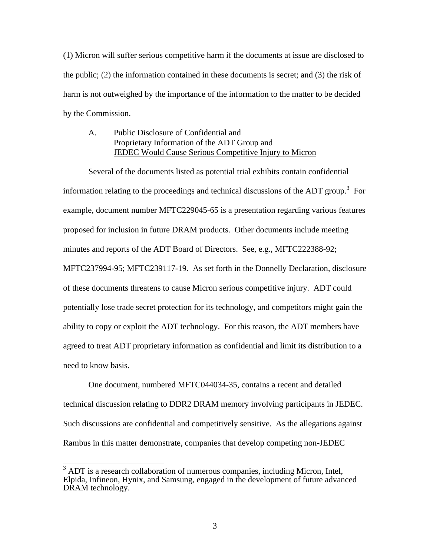(1) Micron will suffer serious competitive harm if the documents at issue are disclosed to the public; (2) the information contained in these documents is secret; and (3) the risk of harm is not outweighed by the importance of the information to the matter to be decided by the Commission.

## A. Public Disclosure of Confidential and Proprietary Information of the ADT Group and JEDEC Would Cause Serious Competitive Injury to Micron

Several of the documents listed as potential trial exhibits contain confidential information relating to the proceedings and technical discussions of the ADT group.<sup>3</sup> For example, document number MFTC229045-65 is a presentation regarding various features proposed for inclusion in future DRAM products. Other documents include meeting minutes and reports of the ADT Board of Directors. See, e.g., MFTC222388-92; MFTC237994-95; MFTC239117-19. As set forth in the Donnelly Declaration, disclosure of these documents threatens to cause Micron serious competitive injury. ADT could potentially lose trade secret protection for its technology, and competitors might gain the ability to copy or exploit the ADT technology. For this reason, the ADT members have agreed to treat ADT proprietary information as confidential and limit its distribution to a need to know basis.

One document, numbered MFTC044034-35, contains a recent and detailed technical discussion relating to DDR2 DRAM memory involving participants in JEDEC. Such discussions are confidential and competitively sensitive. As the allegations against Rambus in this matter demonstrate, companies that develop competing non-JEDEC

<sup>&</sup>lt;sup>3</sup> ADT is a research collaboration of numerous companies, including Micron, Intel, Elpida, Infineon, Hynix, and Samsung, engaged in the development of future advanced DRAM technology.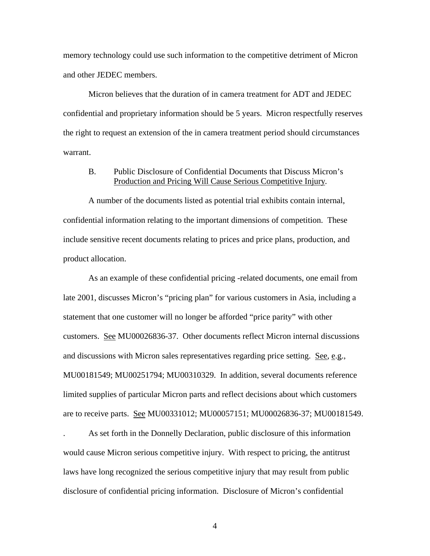memory technology could use such information to the competitive detriment of Micron and other JEDEC members.

Micron believes that the duration of in camera treatment for ADT and JEDEC confidential and proprietary information should be 5 years. Micron respectfully reserves the right to request an extension of the in camera treatment period should circumstances warrant.

# B. Public Disclosure of Confidential Documents that Discuss Micron's Production and Pricing Will Cause Serious Competitive Injury.

A number of the documents listed as potential trial exhibits contain internal, confidential information relating to the important dimensions of competition. These include sensitive recent documents relating to prices and price plans, production, and product allocation.

As an example of these confidential pricing -related documents, one email from late 2001, discusses Micron's "pricing plan" for various customers in Asia, including a statement that one customer will no longer be afforded "price parity" with other customers. See MU00026836-37. Other documents reflect Micron internal discussions and discussions with Micron sales representatives regarding price setting. See, e.g., MU00181549; MU00251794; MU00310329. In addition, several documents reference limited supplies of particular Micron parts and reflect decisions about which customers are to receive parts. See MU00331012; MU00057151; MU00026836-37; MU00181549.

. As set forth in the Donnelly Declaration, public disclosure of this information would cause Micron serious competitive injury. With respect to pricing, the antitrust laws have long recognized the serious competitive injury that may result from public disclosure of confidential pricing information. Disclosure of Micron's confidential

4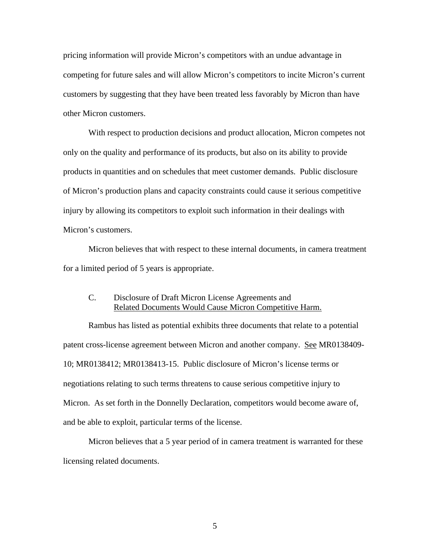pricing information will provide Micron's competitors with an undue advantage in competing for future sales and will allow Micron's competitors to incite Micron's current customers by suggesting that they have been treated less favorably by Micron than have other Micron customers.

With respect to production decisions and product allocation, Micron competes not only on the quality and performance of its products, but also on its ability to provide products in quantities and on schedules that meet customer demands. Public disclosure of Micron's production plans and capacity constraints could cause it serious competitive injury by allowing its competitors to exploit such information in their dealings with Micron's customers.

Micron believes that with respect to these internal documents, in camera treatment for a limited period of 5 years is appropriate.

# C. Disclosure of Draft Micron License Agreements and Related Documents Would Cause Micron Competitive Harm.

Rambus has listed as potential exhibits three documents that relate to a potential patent cross-license agreement between Micron and another company. See MR0138409-10; MR0138412; MR0138413-15. Public disclosure of Micron's license terms or negotiations relating to such terms threatens to cause serious competitive injury to Micron. As set forth in the Donnelly Declaration, competitors would become aware of, and be able to exploit, particular terms of the license.

Micron believes that a 5 year period of in camera treatment is warranted for these licensing related documents.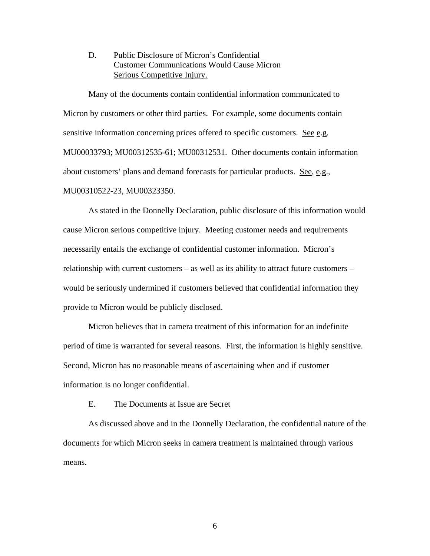D. Public Disclosure of Micron's Confidential Customer Communications Would Cause Micron Serious Competitive Injury.

Many of the documents contain confidential information communicated to Micron by customers or other third parties. For example, some documents contain sensitive information concerning prices offered to specific customers. See e.g. MU00033793; MU00312535-61; MU00312531. Other documents contain information about customers' plans and demand forecasts for particular products. See, e.g., MU00310522-23, MU00323350.

As stated in the Donnelly Declaration, public disclosure of this information would cause Micron serious competitive injury. Meeting customer needs and requirements necessarily entails the exchange of confidential customer information. Micron's relationship with current customers – as well as its ability to attract future customers – would be seriously undermined if customers believed that confidential information they provide to Micron would be publicly disclosed.

Micron believes that in camera treatment of this information for an indefinite period of time is warranted for several reasons. First, the information is highly sensitive. Second, Micron has no reasonable means of ascertaining when and if customer information is no longer confidential.

#### E. The Documents at Issue are Secret

As discussed above and in the Donnelly Declaration, the confidential nature of the documents for which Micron seeks in camera treatment is maintained through various means.

6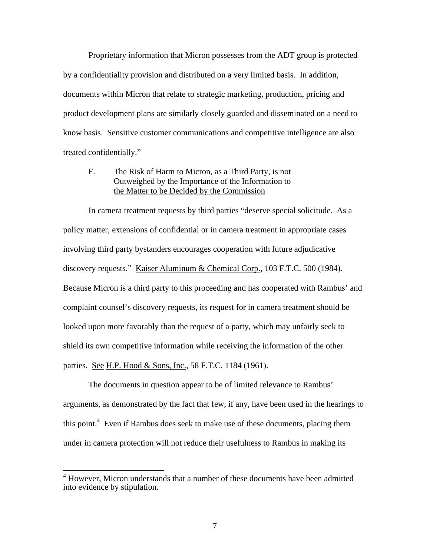Proprietary information that Micron possesses from the ADT group is protected by a confidentiality provision and distributed on a very limited basis. In addition, documents within Micron that relate to strategic marketing, production, pricing and product development plans are similarly closely guarded and disseminated on a need to know basis. Sensitive customer communications and competitive intelligence are also treated confidentially."

### F. The Risk of Harm to Micron, as a Third Party, is not Outweighed by the Importance of the Information to the Matter to be Decided by the Commission

In camera treatment requests by third parties "deserve special solicitude. As a policy matter, extensions of confidential or in camera treatment in appropriate cases involving third party bystanders encourages cooperation with future adjudicative discovery requests." Kaiser Aluminum & Chemical Corp., 103 F.T.C. 500 (1984). Because Micron is a third party to this proceeding and has cooperated with Rambus' and complaint counsel's discovery requests, its request for in camera treatment should be looked upon more favorably than the request of a party, which may unfairly seek to shield its own competitive information while receiving the information of the other parties. See H.P. Hood & Sons, Inc., 58 F.T.C. 1184 (1961).

The documents in question appear to be of limited relevance to Rambus' arguments, as demonstrated by the fact that few, if any, have been used in the hearings to this point.<sup>4</sup> Even if Rambus does seek to make use of these documents, placing them under in camera protection will not reduce their usefulness to Rambus in making its

 4 However, Micron understands that a number of these documents have been admitted into evidence by stipulation.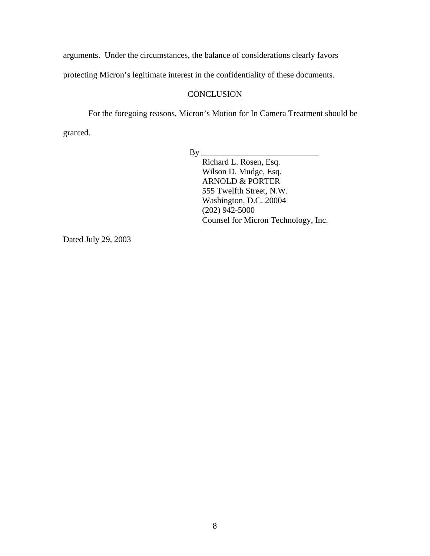arguments. Under the circumstances, the balance of considerations clearly favors

protecting Micron's legitimate interest in the confidentiality of these documents.

# **CONCLUSION**

For the foregoing reasons, Micron's Motion for In Camera Treatment should be granted.

By \_\_\_\_\_\_\_\_\_\_\_\_\_\_\_\_\_\_\_\_\_\_\_\_\_\_\_\_

Richard L. Rosen, Esq. Wilson D. Mudge, Esq. ARNOLD & PORTER 555 Twelfth Street, N.W. Washington, D.C. 20004 (202) 942-5000 Counsel for Micron Technology, Inc.

Dated July 29, 2003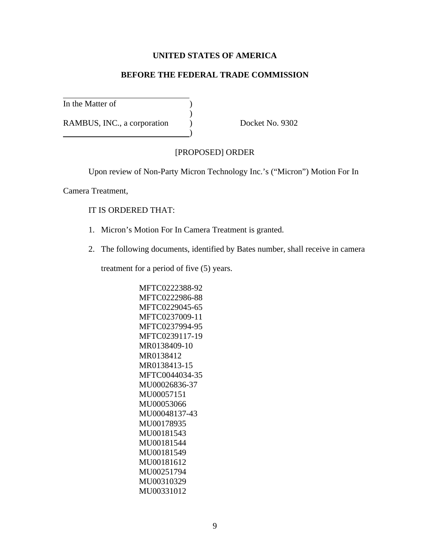# **UNITED STATES OF AMERICA**

# **BEFORE THE FEDERAL TRADE COMMISSION**

In the Matter of (1)

RAMBUS, INC., a corporation (b) Docket No. 9302

#### [PROPOSED] ORDER

Upon review of Non-Party Micron Technology Inc.'s ("Micron") Motion For In

Camera Treatment,

#### IT IS ORDERED THAT:

1. Micron's Motion For In Camera Treatment is granted.

)

)

2. The following documents, identified by Bates number, shall receive in camera

treatment for a period of five (5) years.

MFTC0222388-92 MFTC0222986-88 MFTC0229045-65 MFTC0237009-11 MFTC0237994-95 MFTC0239117-19 MR0138409-10 MR0138412 MR0138413-15 MFTC0044034-35 MU00026836-37 MU00057151 MU00053066 MU00048137-43 MU00178935 MU00181543 MU00181544 MU00181549 MU00181612 MU00251794 MU00310329 MU00331012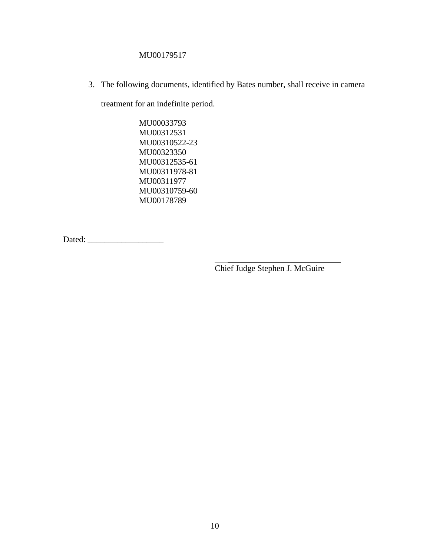# MU00179517

3. The following documents, identified by Bates number, shall receive in camera

 $\overline{\phantom{a}}$ 

treatment for an indefinite period.

MU00033793 MU00312531 MU00310522-23 MU00323350 MU00312535-61 MU00311978-81 MU00311977 MU00310759-60 MU00178789

Dated: \_\_\_\_\_\_\_\_\_\_\_\_\_\_\_\_\_\_

Chief Judge Stephen J. McGuire